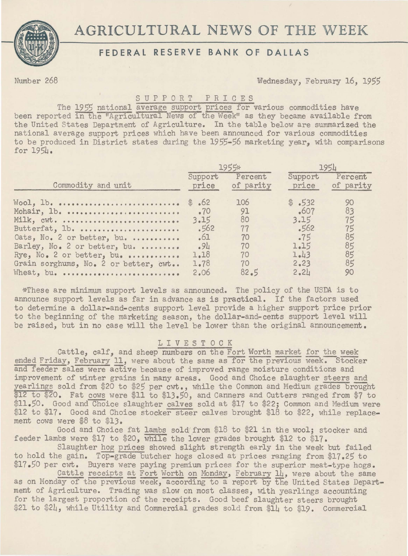# AGRICULTURAL NEWS OF THE WEEK



## **FEDERAL RESERVE BANK OF DALLAS**

Number 268 Wednesday, February 16, 1955

## S U P P 0 R T P R I C E S

The 1955 national average support prices for various commodities have been reported in the "Agricultural News of the Week" as they became available from the United States Department of Agriculture. In the table below are summarized the national average support prices which have been announced for various commodities to be produced in District states during the 1955-56 marketing year, with comparisons for 195L.

| Commodity and unit                                                                                                                                  | 1955*                                       |                                         | 1954                                                   |                                        |
|-----------------------------------------------------------------------------------------------------------------------------------------------------|---------------------------------------------|-----------------------------------------|--------------------------------------------------------|----------------------------------------|
|                                                                                                                                                     | Support<br>price                            | Percent<br>of parity                    | Support<br>price                                       | Percent<br>of parity                   |
| Woo1, 1b.<br>Mohair, lb.<br>Milk, cwt.<br>Butterfat, lb.<br>Oats, No. 2 or better, bu.<br>Barley, No. 2 or better, bu.<br>Rye, No. 2 or better, bu. | .70<br>3.15<br>$-562$<br>.61<br>.94<br>1.18 | 106<br>91<br>80<br>77<br>70<br>70<br>70 | \$.532<br>607<br>3.15<br>$-562$<br>.75<br>1.15<br>1.43 | 90<br>83<br>75<br>75<br>85<br>85<br>85 |
| Grain sorghums, No. 2 or better, cwt<br>Wheat, bu.                                                                                                  | 1.78<br>2.06                                | 70<br>82.5                              | 2.23<br>2.21                                           | 85<br>90                               |

~~These are minimum support levels as announced. The policy of the USDA is to announce support levels as far in advance as is practical. If the factors used to determine a dollar-and-cents support level provide a higher support price prior to the beginning of the marketing season, the dollar-and-cents support level will be raised, but in no case will the level be lower than the original announcement.

## LIVESTOCK

Cattle, calf, and sheep numbers on the Fort Worth market for the week ended Friday, February 11, were about the same as for the previous week. Stocker and feeder sales were aetive because of improved range moisture conditions and improvement of winter grains in many areas. Good and Choice slaughter steers and yearlings sold from \$20 to \$25 per cwt., while the Common and Medium grades brought \$12 to \$20. Fat cows were \$11 to \$13.50, and Canners and Cutters ranged from \$7 to \$11.50. Good and Choice slaughter calves sold at \$17 to \$22; Common and Medium were \$12 to \$17. Good and Choice stocker steer calves brought \$18 to \$22, while replacement cows were \$8 to \$13.

Good and Choice fat lambs sold from \$18 to \$21 in the wool; stocker and feeder lambs were \$17 to *\$20,* while the lower grades brought \$12 to \$17.

Slaughter hog prices showed slight strength early in the week but failed to hold the gain. Top-grade butcher hogs closed at prices ranging from \$17.25 to \$17.50 per cwt. Buyers were paying premium prices for the superior meat-type hogs.

Cattle receipts at Fort Worth on Monday, February  $1\!{\downarrow}$ , were about the same as on Monday of the previous week, according to a report by the United States Department of Agriculture. Trading was slow on most classes, with yearlings accounting for the largest proportion of the receipts. Good beef slaughter steers brought \$21 to \$24, while Utility and Commercial grades sold from \$14 to \$19. Commercial